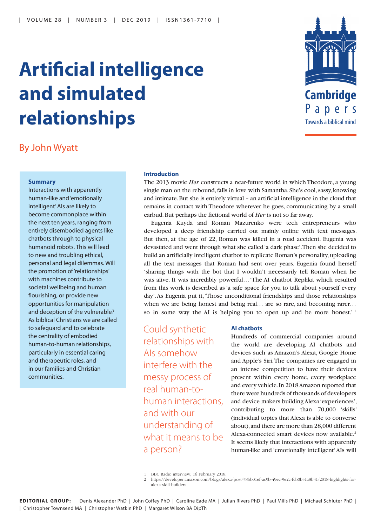# **Artificial intelligence and simulated relationships**



# By John Wyatt

## **Summary**

Interactions with apparently human-like and 'emotionally intelligent' AIs are likely to become commonplace within the next ten years, ranging from entirely disembodied agents like chatbots through to physical humanoid robots. This will lead to new and troubling ethical, personal and legal dilemmas. Will the promotion of 'relationships' with machines contribute to societal wellbeing and human flourishing, or provide new opportunities for manipulation and deception of the vulnerable? As biblical Christians we are called to safeguard and to celebrate the centrality of embodied human-to-human relationships, particularly in essential caring and therapeutic roles, and in our families and Christian communities.

### **Introduction**

The 2013 movie *Her* constructs a near-future world in which Theodore, a young single man on the rebound, falls in love with Samantha. She's cool, sassy, knowing and intimate. But she is entirely virtual – an artificial intelligence in the cloud that remains in contact with Theodore wherever he goes, communicating by a small earbud. But perhaps the fictional world of *Her* is not so far away.

Eugenia Kuyda and Roman Mazurenko were tech entrepreneurs who developed a deep friendship carried out mainly online with text messages. But then, at the age of 22, Roman was killed in a road accident. Eugenia was devastated and went through what she called 'a dark phase'. Then she decided to build an artificially intelligent chatbot to replicate Roman's personality, uploading all the text messages that Roman had sent over years. Eugenia found herself 'sharing things with the bot that I wouldn't necessarily tell Roman when he was alive. It was incredibly powerful…' The AI chatbot Replika which resulted from this work is described as 'a safe space for you to talk about yourself every day'. As Eugenia put it, 'Those unconditional friendships and those relationships when we are being honest and being real... are so rare, and becoming rarer... so in some way the AI is helping you to open up and be more honest.<sup>1</sup>

Could synthetic relationships with AIs somehow interfere with the messy process of real human-tohuman interactions, and with our understanding of what it means to be a person?

#### **AI chatbots**

Hundreds of commercial companies around the world are developing AI chatbots and devices such as Amazon's Alexa, Google Home and Apple's Siri. The companies are engaged in an intense competition to have their devices present within every home, every workplace and every vehicle. In 2018 Amazon reported that there were hundreds of thousands of developers and device makers building Alexa 'experiences', contributing to more than 70,000 'skills' (individual topics that Alexa is able to converse about), and there are more than 28,000 different Alexa-connected smart devices now available.<sup>2</sup> It seems likely that interactions with apparently human-like and 'emotionally intelligent' AIs will

<sup>1</sup> BBC Radio interview, 16 February 2018.

<sup>2</sup> https://developer.amazon.com/blogs/alexa/post/38bb01ef-ac9b-49ec-9e2c-fcb0b51a8b31/2018-highlights-foralexa-skill-builders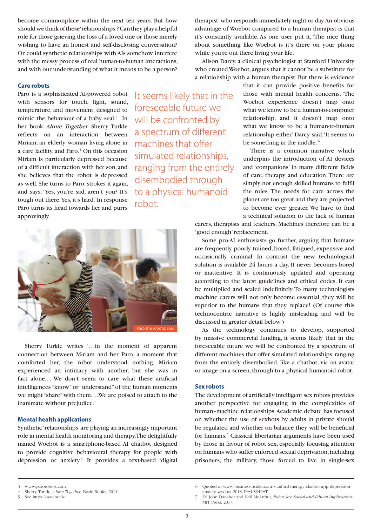become commonplace within the next ten years. But how should we think of these 'relationships'? Can they play a helpful role for those grieving the loss of a loved one or those merely wishing to have an honest and self-disclosing conversation? Or could synthetic relationships with AIs somehow interfere with the messy process of real human-to-human interactions, and with our understanding of what it means to be a person?

#### **Care robots**

Paro is a sophisticated AI-powered robot with sensors for touch, light, sound, temperature, and movement, designed to mimic the behaviour of a baby seal. $3$  In her book *Alone Together* Sherry Turkle reflects on an interaction between Miriam, an elderly woman living alone in a care facility, and Paro.<sup>4</sup> On this occasion Miriam is particularly depressed because of a difficult interaction with her son, and she believes that the robot is depressed as well. She turns to Paro, strokes it again, and says, 'Yes, you're sad, aren't you? It's tough out there. Yes, it's hard.' In response Paro turns its head towards her and purrs approvingly.

It seems likely that in the foreseeable future we will be confronted by a spectrum of different machines that offer simulated relationships, ranging from the entirely disembodied through to a physical humanoid robot.



Sherry Turkle writes '…in the moment of apparent connection between Miriam and her Paro, a moment that comforted her, the robot understood nothing. Miriam experienced an intimacy with another, but she was in fact alone.... We don't seem to care what these artificial intelligences "know" or "understand" of the human moments we might "share" with them. ...We are poised to attach to the inanimate without prejudice.'

# **Mental health applications**

Synthetic 'relationships' are playing an increasingly important role in mental health monitoring and therapy. The delightfully named Woebot is a smartphone-based AI chatbot designed to provide cognitive behavioural therapy for people with depression or anxiety.<sup>5</sup> It provides a text-based 'digital therapist' who responds immediately night or day. An obvious advantage of Woebot compared to a human therapist is that it's constantly available. As one user put it, 'The nice thing about something like Woebot is it's there on your phone while you're out there living your life.'

Alison Darcy, a clinical psychologist at Stanford University who created Woebot, argues that it cannot be a substitute for a relationship with a human therapist. But there is evidence

> that it can provide positive benefits for those with mental health concerns. 'The Woebot experience doesn't map onto what we know to be a human-to-computer relationship, and it doesn't map onto what we know to be a human-to-human relationship either,' Darcy said. 'It seems to be something in the middle.'<sup>6</sup>

> There is a common narrative which underpins the introduction of AI devices and 'companions' in many different fields of care, therapy and education. There are simply not enough skilled humans to fulfil the roles. The needs for care across the planet are too great and they are projected to become ever greater. We have to find a technical solution to the lack of human

carers, therapists and teachers. Machines therefore can be a 'good enough' replacement.

Some pro-AI enthusiasts go further, arguing that humans are frequently poorly trained, bored, fatigued, expensive and occasionally criminal. In contrast the new technological solution is available 24 hours a day. It never becomes bored or inattentive. It is continuously updated and operating according to the latest guidelines and ethical codes. It can be multiplied and scaled indefinitely. To many technologists machine carers will not only become essential, they will be superior to the humans that they replace! (Of course this technocentric narrative is highly misleading and will be discussed in greater detail below.)

As the technology continues to develop, supported by massive commercial funding, it seems likely that in the foreseeable future we will be confronted by a spectrum of different machines that offer simulated relationships, ranging from the entirely disembodied, like a chatbot, via an avatar or image on a screen, through to a physical humanoid robot.

### **Sex robots**

The development of artificially intelligent sex robots provides another perspective for engaging in the complexities of human–machine relationships. Academic debate has focused on whether the use of sexbots by adults in private should be regulated and whether on balance they will be beneficial for humans.<sup>7</sup> Classical libertarian arguments have been used by those in favour of robot sex, especially focusing attention on humans who suffer enforced sexual deprivation, including prisoners, the military, those forced to live in single-sex

<sup>3</sup> www.parorobots.com

<sup>4</sup> Sherry Turkle, *Alone Together,* Basic Books, 2011.

<sup>5</sup> See https://woebot.io

<sup>6</sup> Quoted in www.businessinsider.com/stanford-therapy-chatbot-app-depressionanxiety-woebot-2018-1?r=US&IR=T

<sup>7</sup> Ed John Danaher and Neil McArthur, *Robot Sex: Social and Ethical Implications*, MIT Press, 2017.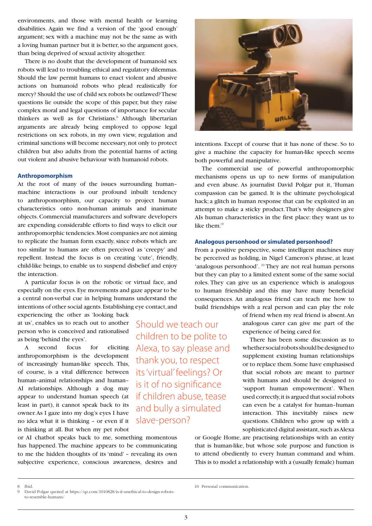environments, and those with mental health or learning disabilities. Again we find a version of the 'good enough' argument; sex with a machine may not be the same as with a loving human partner but it is better, so the argument goes, than being deprived of sexual activity altogether.

There is no doubt that the development of humanoid sex robots will lead to troubling ethical and regulatory dilemmas. Should the law permit humans to enact violent and abusive actions on humanoid robots who plead realistically for mercy? Should the use of child sex robots be outlawed? These questions lie outside the scope of this paper, but they raise complex moral and legal questions of importance for secular thinkers as well as for Christians.<sup>8</sup> Although libertarian arguments are already being employed to oppose legal restrictions on sex robots, in my own view, regulation and criminal sanctions will become necessary, not only to protect children but also adults from the potential harms of acting out violent and abusive behaviour with humanoid robots.

#### **Anthropomorphism**

At the root of many of the issues surrounding human– machine interactions is our profound inbuilt tendency to anthropomorphism, our capacity to project human characteristics onto non-human animals and inanimate objects. Commercial manufacturers and software developers are expending considerable efforts to find ways to elicit our anthropomorphic tendencies. Most companies are not aiming to replicate the human form exactly, since robots which are too similar to humans are often perceived as 'creepy' and repellent. Instead the focus is on creating 'cute', friendly, child-like beings, to enable us to suspend disbelief and enjoy the interaction.

A particular focus is on the robotic or virtual face, and especially on the eyes. Eye movements and gaze appear to be a central non-verbal cue in helping humans understand the intentions of other social agents. Establishing eye contact, and

experiencing the other as 'looking back at us', enables us to reach out to another person who is conceived and rationalised as being 'behind the eyes'.

A second focus for eliciting anthropomorphism is the development of increasingly human-like speech. This, of course, is a vital difference between human–animal relationships and human– AI relationships. Although a dog may appear to understand human speech (at least in part), it cannot speak back to its owner. As I gaze into my dog's eyes I have no idea what it is thinking – or even if it is thinking at all. But when my pet robot

or AI chatbot speaks back to me, something momentous has happened. The machine appears to be communicating to me the hidden thoughts of its 'mind' – revealing its own subjective experience, conscious awareness, desires and





intentions. Except of course that it has none of these. So to give a machine the capacity for human-like speech seems both powerful and manipulative.

The commercial use of powerful anthropomorphic mechanisms opens us up to new forms of manipulation and even abuse. As journalist David Polgar put it, 'Human compassion can be gamed. It is the ultimate psychological hack; a glitch in human response that can be exploited in an attempt to make a sticky product. That's why designers give AIs human characteristics in the first place: they want us to like them.'<sup>9</sup>

# **Analogous personhood or simulated personhood?**

From a positive perspective, some intelligent machines may be perceived as holding, in Nigel Cameron's phrase, at least 'analogous personhood'. <sup>10</sup> They are not real human persons but they can play to a limited extent some of the same social roles. They can give us an experience which is analogous to human friendship and this may have many beneficial consequences. An analogous friend can teach me how to build friendships with a real person and can play the role

> of friend when my real friend is absent. An analogous carer can give me part of the experience of being cared for.

> There has been some discussion as to whether social robots should be designed to supplement existing human relationships or to replace them. Some have emphasised that social robots are meant to partner with humans and should be designed to 'support human empowerment'. When used correctly, it is argued that social robots can even be a catalyst for human–human interaction. This inevitably raises new questions. Children who grow up with a sophisticated digital assistant, such as Alexa

or Google Home, are practising relationships with an entity that is human-like, but whose sole purpose and function is to attend obediently to every human command and whim. This is to model a relationship with a (usually female) human

<sup>8</sup> Ibid.

David Polgar quoted at https://qz.com/1010828/is-it-unethical-to-design-robotsto-resemble-humans/

<sup>10</sup> Personal communication.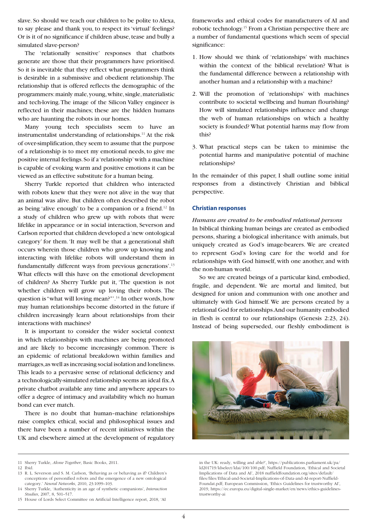slave. So should we teach our children to be polite to Alexa, to say please and thank you, to respect its 'virtual' feelings? Or is it of no significance if children abuse, tease and bully a simulated slave-person?

The 'relationally sensitive' responses that chatbots generate are those that their programmers have prioritised. So it is inevitable that they reflect what programmers think is desirable in a submissive and obedient relationship. The relationship that is offered reflects the demographic of the programmers: mainly male, young, white, single, materialistic and tech-loving. The image of the Silicon Valley engineer is reflected in their machines; these are the hidden humans who are haunting the robots in our homes.

Many young tech specialists seem to have an instrumentalist understanding of relationships. $11$  At the risk of over-simplification, they seem to assume that the purpose of a relationship is to meet my emotional needs, to give me positive internal feelings. So if a 'relationship' with a machine is capable of evoking warm and positive emotions it can be viewed as an effective substitute for a human being.

Sherry Turkle reported that children who interacted with robots knew that they were not alive in the way that an animal was alive. But children often described the robot as being 'alive enough' to be a companion or a friend.<sup>12</sup> In a study of children who grew up with robots that were lifelike in appearance or in social interaction, Severson and Carlson reported that children developed a 'new ontological category' for them. 'It may well be that a generational shift occurs wherein those children who grow up knowing and interacting with lifelike robots will understand them in fundamentally different ways from previous generations'.<sup>13</sup> What effects will this have on the emotional development of children? As Sherry Turkle put it, 'The question is not whether children will grow up loving their robots. The question is "what will loving mean?"'.<sup>14</sup> In other words, how may human relationships become distorted in the future if children increasingly learn about relationships from their interactions with machines?

It is important to consider the wider societal context in which relationships with machines are being promoted and are likely to become increasingly common. There is an epidemic of relational breakdown within families and marriages, as well as increasing social isolation and loneliness. This leads to a pervasive sense of relational deficiency and a technologically-simulated relationship seems an ideal fix. A private chatbot available any time and anywhere appears to offer a degree of intimacy and availability which no human bond can ever match.

There is no doubt that human–machine relationships raise complex ethical, social and philosophical issues and there have been a number of recent initiatives within the UK and elsewhere aimed at the development of regulatory frameworks and ethical codes for manufacturers of AI and robotic technology.<sup>15</sup> From a Christian perspective there are a number of fundamental questions which seem of special significance:

- 1. How should we think of 'relationships' with machines within the context of the biblical revelation? What is the fundamental difference between a relationship with another human and a relationship with a machine?
- 2. Will the promotion of 'relationships' with machines contribute to societal wellbeing and human flourishing? How will simulated relationships influence and change the web of human relationships on which a healthy society is founded? What potential harms may flow from this?
- 3. What practical steps can be taken to minimise the potential harms and manipulative potential of machine relationships?

In the remainder of this paper, I shall outline some initial responses from a distinctively Christian and biblical perspective.

#### **Christian responses**

*Humans are created to be embodied relational persons* In biblical thinking human beings are created as embodied persons, sharing a biological inheritance with animals, but uniquely created as God's image-bearers. We are created to represent God's loving care for the world and for relationships with God himself, with one another, and with the non-human world.

So we are created beings of a particular kind, embodied, fragile, and dependent. We are mortal and limited, but designed for union and communion with one another and ultimately with God himself. We are persons created by a relational God for relationships. And our humanity embodied in flesh is central to our relationships (Genesis 2:23, 24). Instead of being superseded, our fleshly embodiment is



in the UK: ready, willing and able?', https://publications.parliament.uk/pa/ ld201719/ldselect/ldai/100/100.pdf; Nuffield Foundation, 'Ethical and Societal Implications of Data and AI', 2018 nuffieldfoundation.org/sites/default/ files/files/Ethical-and-Societal-Implications-of-Data-and-AI-report-Nuffield-Foundat.pdf; European Commission, 'Ethics Guidelines for trustworthy AI', 2019, https://ec.europa.eu/digital-single-market/en/news/ethics-guidelinestrustworthy-ai

<sup>11</sup> Sherry Turkle, *Alone Together*, Basic Books, 2011.

<sup>12</sup> Ibid.

<sup>13</sup> R. L. Severson and S. M. Carlson, 'Behaving as or behaving as if? Children's conceptions of personified robots and the emergence of a new ontological category.' *Neural Networks*, 2010, 23:1099–103.

<sup>14</sup> Sherry Turkle, 'Authenticity in an age of synthetic companions', *Interaction Studies*, 2007, 8, 501–517.

<sup>15</sup> House of Lords Select Committee on Artificial Intelligence report, 2018, 'AI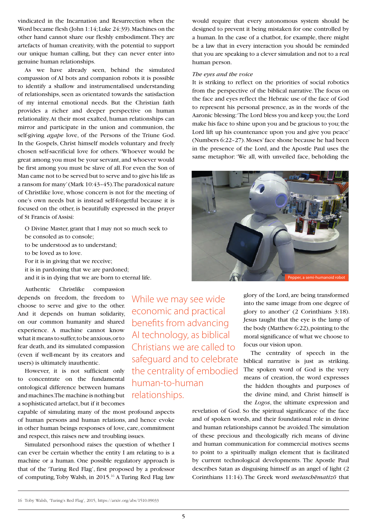vindicated in the Incarnation and Resurrection when the Word became flesh (John 1:14; Luke 24:39). Machines on the other hand cannot share our fleshly embodiment. They are artefacts of human creativity, with the potential to support our unique human calling, but they can never enter into genuine human relationships.

As we have already seen, behind the simulated compassion of AI bots and companion robots it is possible to identify a shallow and instrumentalised understanding of relationships, seen as orientated towards the satisfaction of my internal emotional needs. But the Christian faith provides a richer and deeper perspective on human relationality. At their most exalted, human relationships can mirror and participate in the union and communion, the self-giving *agape* love, of the Persons of the Triune God. In the Gospels, Christ himself models voluntary and freely chosen self-sacrificial love for others. 'Whoever would be great among you must be your servant, and whoever would be first among you must be slave of all. For even the Son of Man came not to be served but to serve and to give his life as a ransom for many' (Mark 10:43–45). The paradoxical nature of Christlike love, whose concern is not for the meeting of one's own needs but is instead self-forgetful because it is focused on the other, is beautifully expressed in the prayer of St Francis of Assisi:

O Divine Master, grant that I may not so much seek to be consoled as to console; to be understood as to understand; to be loved as to love. For it is in giving that we receive; it is in pardoning that we are pardoned; and it is in dying that we are born to eternal life.

Authentic Christlike compassion depends on freedom, the freedom to choose to serve and give to the other. And it depends on human solidarity, on our common humanity and shared experience. A machine cannot know what it means to suffer, to be anxious, or to fear death, and its simulated compassion (even if well-meant by its creators and users) is ultimately inauthentic.

However, it is not sufficient only to concentrate on the fundamental ontological difference between humans and machines. The machine is nothing but a sophisticated artefact, but if it becomes

capable of simulating many of the most profound aspects of human persons and human relations, and hence evoke in other human beings responses of love, care, commitment and respect, this raises new and troubling issues.

Simulated personhood raises the question of whether I can ever be certain whether the entity I am relating to is a machine or a human. One possible regulatory approach is that of the 'Turing Red Flag', first proposed by a professor of computing, Toby Walsh, in 2015.<sup>16</sup> A Turing Red Flag law

While we may see wide economic and practical benefits from advancing AI technology, as biblical Christians we are called to safeguard and to celebrate the centrality of embodied human-to-human relationships.

would require that every autonomous system should be designed to prevent it being mistaken for one controlled by a human. In the case of a chatbot, for example, there might be a law that in every interaction you should be reminded that you are speaking to a clever simulation and not to a real human person.

#### *The eyes and the voice*

It is striking to reflect on the priorities of social robotics from the perspective of the biblical narrative. The focus on the face and eyes reflect the Hebraic use of the face of God to represent his personal presence, as in the words of the Aaronic blessing: 'The Lord bless you and keep you; the Lord make his face to shine upon you and be gracious to you; the Lord lift up his countenance upon you and give you peace' (Numbers 6:22–27). Moses' face shone because he had been in the presence of the Lord, and the Apostle Paul uses the same metaphor: 'We all, with unveiled face, beholding the



glory of the Lord, are being transformed into the same image from one degree of glory to another' (2 Corinthians 3:18). Jesus taught that the eye is the lamp of the body (Matthew 6:22), pointing to the moral significance of what we choose to focus our vision upon.

The centrality of speech in the biblical narrative is just as striking. The spoken word of God is the very means of creation, the word expresses the hidden thoughts and purposes of the divine mind, and Christ himself is the *Logos*, the ultimate expression and

revelation of God. So the spiritual significance of the face and of spoken words, and their foundational role in divine and human relationships cannot be avoided. The simulation of these precious and theologically rich means of divine and human communication for commercial motives seems to point to a spiritually malign element that is facilitated by current technological developments. The Apostle Paul describes Satan as disguising himself as an angel of light (2 Corinthians 11:14). The Greek word *metaschematizo* that

<sup>16</sup> Toby Walsh, 'Turing's Red Flag', 2015, https://arxiv.org/abs/1510.09033